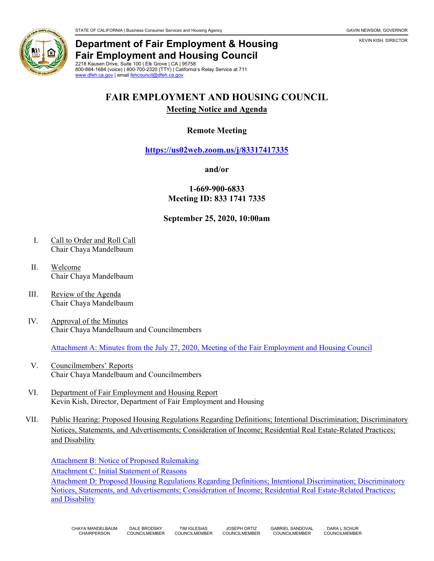

# **Department of Fair Employment & Housing Fair Employment and Housing Council**

2218 Kausen Drive, Suite 100 | Elk Grove | CA | 95758 800-884-1684 (voice) | 800-700-2320 (TTY) | California's Relay Service at 711 [www.dfeh.ca.gov](https://www.dfeh.ca.gov/) | emai[l fehcouncil@dfeh.ca.gov](mailto:fehcouncil@dfeh.ca.gov)

# **FAIR EMPLOYMENT AND HOUSING COUNCIL**

### **Meeting Notice and Agenda**

## **Remote Meeting**

**<https://us02web.zoom.us/j/83317417335>**

#### **and/or**

**1-669-900-6833 Meeting ID: 833 1741 7335**

### **September 25, 2020, 10:00am**

- I. Call to Order and Roll Call Chair Chaya Mandelbaum
- II. Welcome Chair Chaya Mandelbaum
- III. Review of the Agenda Chair Chaya Mandelbaum
- IV. Approval of the Minutes Chair Chaya Mandelbaum and Councilmembers

Attachment A: Minutes from the July [27, 2020, Meeting of the Fair Employment and Housing Council](https://www.dfeh.ca.gov/wp-content/uploads/sites/32/2020/09/Attachment-A-FEHCouncilMinutesJuly27.2020.pdf)

- V. Councilmembers' Reports Chair Chaya Mandelbaum and Councilmembers
- VI. Department of Fair Employment and Housing Report Kevin Kish, Director, Department of Fair Employment and Housing
- VII. Public Hearing: Proposed Housing Regulations Regarding Definitions; Intentional Discrimination; Discriminatory Notices, Statements, and Advertisements; Consideration of Income; Residential Real Estate-Related Practices; and Disability

[Attachment B: Notice of Proposed Rulemaking](https://www.dfeh.ca.gov/wp-content/uploads/sites/32/2020/09/Attachment-B-NoticeProposedHousingRegulations.pdf) [Attachment C: Initial Statement of Reasons](https://www.dfeh.ca.gov/wp-content/uploads/sites/32/2020/09/Attachment-C-InitialStatementReasonsProposedHousingRegulations.pdf) [Attachment D: Proposed Housing Regulations Regarding Definitions; Intentional Discrimination; Discriminatory](https://www.dfeh.ca.gov/wp-content/uploads/sites/32/2020/09/Attachment-D-TextProposedHousingRegulations.pdf)  [Notices, Statements, and Advertisements; Consideration of Income; Residential Real Estate-Related Practices;](https://www.dfeh.ca.gov/wp-content/uploads/sites/32/2020/09/Attachment-D-TextProposedHousingRegulations.pdf)  [and Disability](https://www.dfeh.ca.gov/wp-content/uploads/sites/32/2020/09/Attachment-D-TextProposedHousingRegulations.pdf)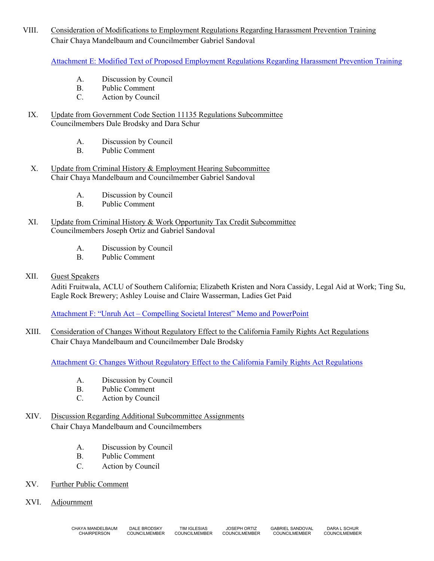VIII. Consideration of Modifications to Employment Regulations Regarding Harassment Prevention Training Chair Chaya Mandelbaum and Councilmember Gabriel Sandoval

[Attachment E: Modified Text of Proposed Employment Regulations Regarding Harassment Prevention Training](https://www.dfeh.ca.gov/wp-content/uploads/sites/32/2020/09/Attachment-E-Modifications-EmploymentRegulationsRegardingHarassmentPreventionTraining.pdf)

- A. Discussion by Council
- B. Public Comment
- C. Action by Council
- IX. Update from Government Code Section 11135 Regulations Subcommittee Councilmembers Dale Brodsky and Dara Schur
	- A. Discussion by Council
	- B. Public Comment
- X. Update from Criminal History & Employment Hearing Subcommittee Chair Chaya Mandelbaum and Councilmember Gabriel Sandoval
	- A. Discussion by Council
	- B. Public Comment
- XI. Update from Criminal History & Work Opportunity Tax Credit Subcommittee Councilmembers Joseph Ortiz and Gabriel Sandoval
	- A. Discussion by Council
	- B. Public Comment
- XII. Guest Speakers

Aditi Fruitwala, ACLU of Southern California; Elizabeth Kristen and Nora Cassidy, Legal Aid at Work; Ting Su, Eagle Rock Brewery; Ashley Louise and Claire Wasserman, Ladies Get Paid

Attachment F: "Unruh Act – [Compelling Societal Interest" Memo and PowerPoint](https://www.dfeh.ca.gov/wp-content/uploads/sites/32/2020/09/Attachment-F-UnruhAct-CompellingSocietal_InterestMemoPowerPoint.pdf)

XIII. Consideration of Changes Without Regulatory Effect to the California Family Rights Act Regulations Chair Chaya Mandelbaum and Councilmember Dale Brodsky

[Attachment G: Changes Without Regulatory Effect to the California Family Rights Act Regulations](https://www.dfeh.ca.gov/wp-content/uploads/sites/32/2020/09/Attachment-G-ChangesWithoutRegulatoryEffect_CaliforniaFamilyRightsActRegulations.pdf)

- A. Discussion by Council
- B. Public Comment<br>C. Action by Council
- Action by Council
- XIV. Discussion Regarding Additional Subcommittee Assignments Chair Chaya Mandelbaum and Councilmembers
	- A. Discussion by Council
	- B. Public Comment
	- C. Action by Council
- XV. Further Public Comment
- XVI. Adjournment